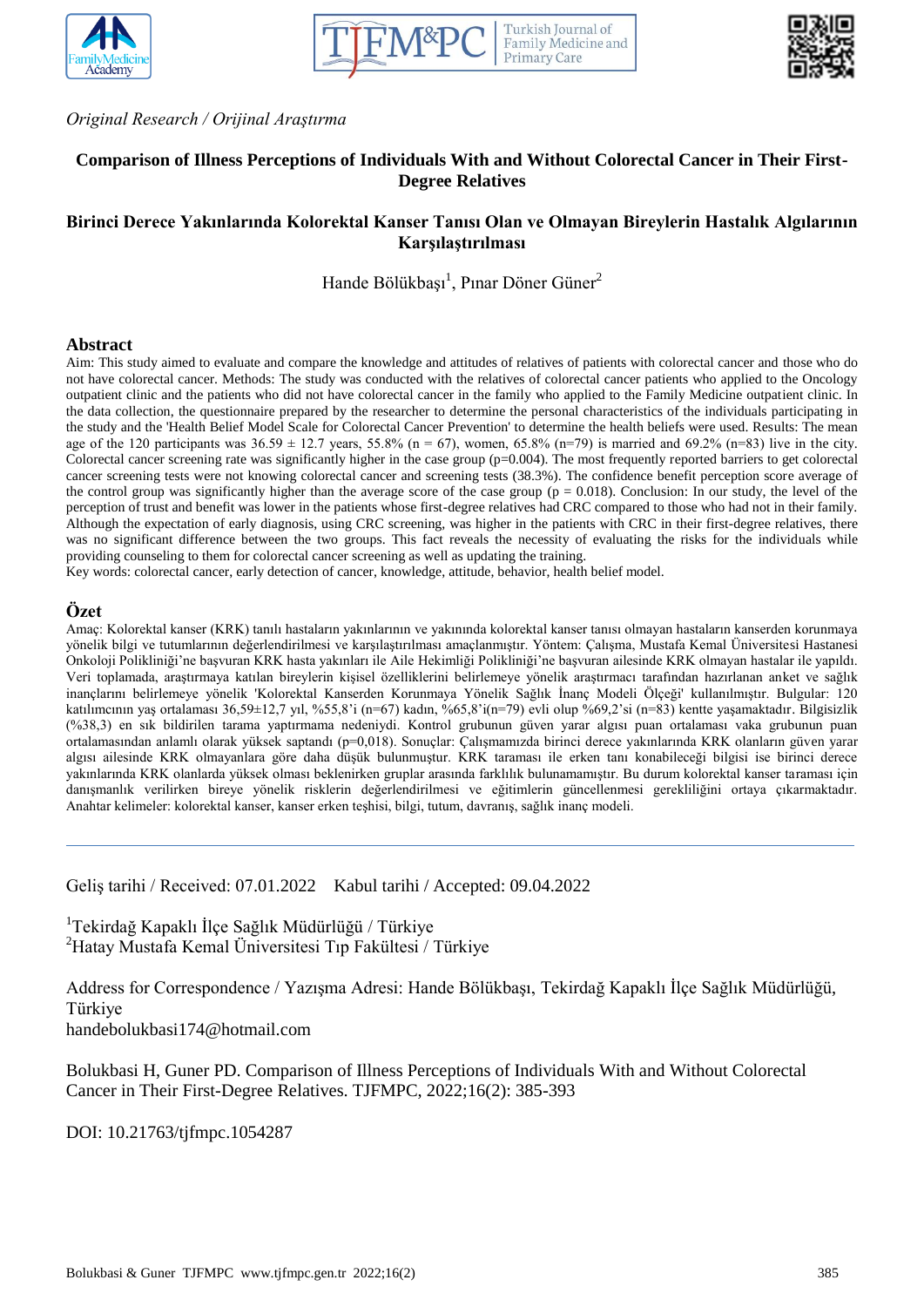





*Original Research / Orijinal Araştırma*

# **Comparison of Illness Perceptions of Individuals With and Without Colorectal Cancer in Their First-Degree Relatives**

# **Birinci Derece Yakınlarında Kolorektal Kanser Tanısı Olan ve Olmayan Bireylerin Hastalık Algılarının Karşılaştırılması**

Hande Bölükbaşı<sup>1</sup>, Pınar Döner Güner<sup>2</sup>

#### **Abstract**

Aim: This study aimed to evaluate and compare the knowledge and attitudes of relatives of patients with colorectal cancer and those who do not have colorectal cancer. Methods: The study was conducted with the relatives of colorectal cancer patients who applied to the Oncology outpatient clinic and the patients who did not have colorectal cancer in the family who applied to the Family Medicine outpatient clinic. In the data collection, the questionnaire prepared by the researcher to determine the personal characteristics of the individuals participating in the study and the 'Health Belief Model Scale for Colorectal Cancer Prevention' to determine the health beliefs were used. Results: The mean age of the 120 participants was  $36.59 \pm 12.7$  years,  $55.8\%$  (n = 67), women,  $65.8\%$  (n=79) is married and  $69.2\%$  (n=83) live in the city. Colorectal cancer screening rate was significantly higher in the case group  $(p=0.004)$ . The most frequently reported barriers to get colorectal cancer screening tests were not knowing colorectal cancer and screening tests (38.3%). The confidence benefit perception score average of the control group was significantly higher than the average score of the case group ( $p = 0.018$ ). Conclusion: In our study, the level of the perception of trust and benefit was lower in the patients whose first-degree relatives had CRC compared to those who had not in their family. Although the expectation of early diagnosis, using CRC screening, was higher in the patients with CRC in their first-degree relatives, there was no significant difference between the two groups. This fact reveals the necessity of evaluating the risks for the individuals while providing counseling to them for colorectal cancer screening as well as updating the training.

Key words: colorectal cancer, early detection of cancer, knowledge, attitude, behavior, health belief model.

## **Özet**

Amaç: Kolorektal kanser (KRK) tanılı hastaların yakınlarının ve yakınında kolorektal kanser tanısı olmayan hastaların kanserden korunmaya yönelik bilgi ve tutumlarının değerlendirilmesi ve karşılaştırılması amaçlanmıştır. Yöntem: Çalışma, Mustafa Kemal Üniversitesi Hastanesi Onkoloji Polikliniği'ne başvuran KRK hasta yakınları ile Aile Hekimliği Polikliniği'ne başvuran ailesinde KRK olmayan hastalar ile yapıldı. Veri toplamada, araştırmaya katılan bireylerin kişisel özelliklerini belirlemeye yönelik araştırmacı tarafından hazırlanan anket ve sağlık inançlarını belirlemeye yönelik 'Kolorektal Kanserden Korunmaya Yönelik Sağlık İnanç Modeli Ölçeği' kullanılmıştır. Bulgular: 120 katılımcının yaş ortalaması 36,59±12,7 yıl, %55,8'i (n=67) kadın, %65,8'i(n=79) evli olup %69,2'si (n=83) kentte yaşamaktadır. Bilgisizlik (%38,3) en sık bildirilen tarama yaptırmama nedeniydi. Kontrol grubunun güven yarar algısı puan ortalaması vaka grubunun puan ortalamasından anlamlı olarak yüksek saptandı (p=0,018). Sonuçlar: Çalışmamızda birinci derece yakınlarında KRK olanların güven yarar algısı ailesinde KRK olmayanlara göre daha düşük bulunmuştur. KRK taraması ile erken tanı konabileceği bilgisi ise birinci derece yakınlarında KRK olanlarda yüksek olması beklenirken gruplar arasında farklılık bulunamamıştır. Bu durum kolorektal kanser taraması için danışmanlık verilirken bireye yönelik risklerin değerlendirilmesi ve eğitimlerin güncellenmesi gerekliliğini ortaya çıkarmaktadır. Anahtar kelimeler: kolorektal kanser, kanser erken teşhisi, bilgi, tutum, davranış, sağlık inanç modeli.

Geliş tarihi / Received: 07.01.2022 Kabul tarihi / Accepted: 09.04.2022

<sup>1</sup>Tekirdağ Kapaklı İlçe Sağlık Müdürlüğü / Türkiye <sup>2</sup>Hatay Mustafa Kemal Üniversitesi Tıp Fakültesi / Türkiye

Address for Correspondence / Yazışma Adresi: Hande Bölükbaşı, Tekirdağ Kapaklı İlçe Sağlık Müdürlüğü, Türkiye

handebolukbasi174@hotmail.com

Bolukbasi H, Guner PD. Comparison of Illness Perceptions of Individuals With and Without Colorectal Cancer in Their First-Degree Relatives. TJFMPC, 2022;16(2): 385-393

DOI: 10.21763/tjfmpc.1054287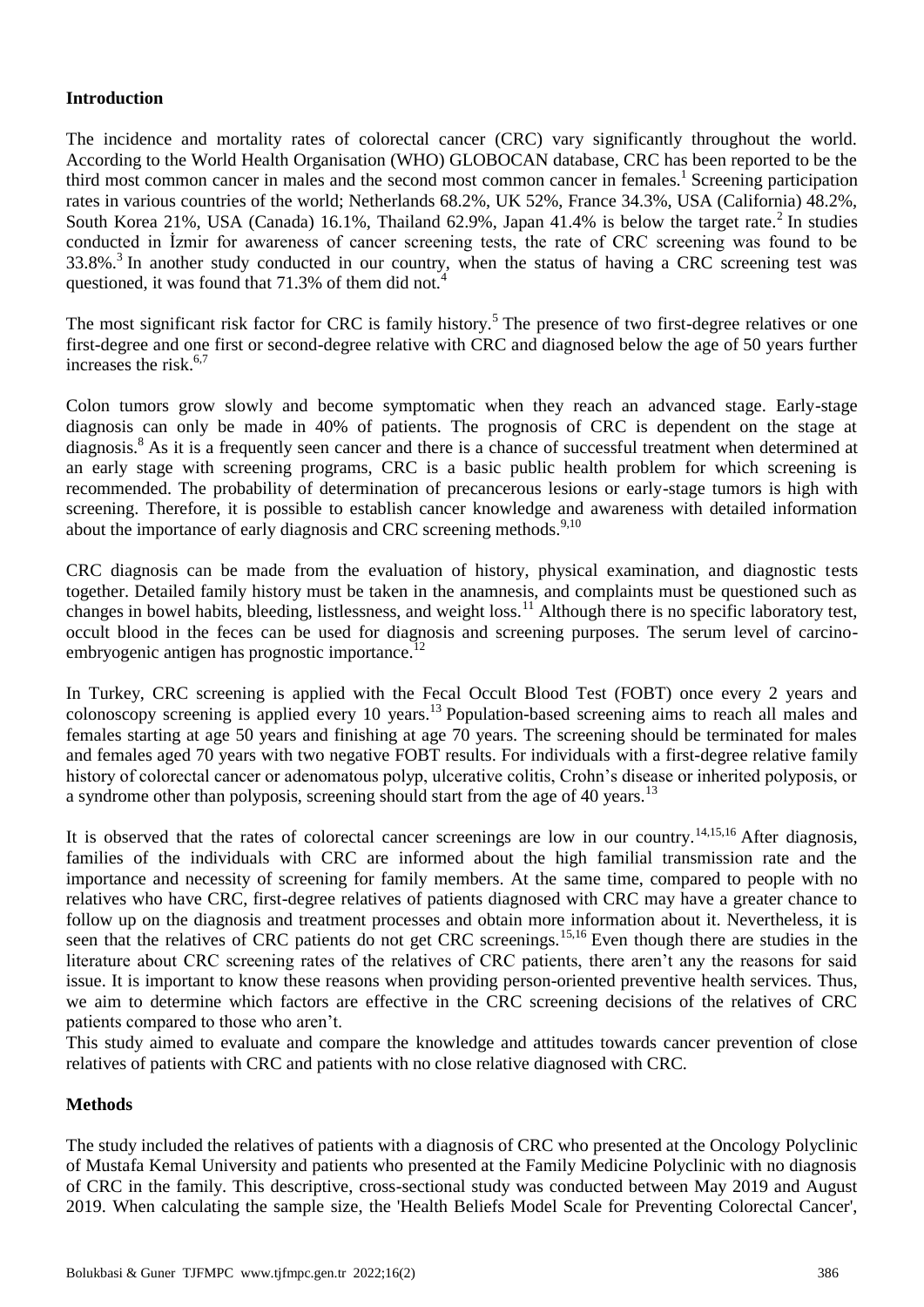# **Introduction**

The incidence and mortality rates of colorectal cancer (CRC) vary significantly throughout the world. According to the World Health Organisation (WHO) GLOBOCAN database, CRC has been reported to be the third most common cancer in males and the second most common cancer in females.<sup>1</sup> Screening participation rates in various countries of the world; Netherlands 68.2%, UK 52%, France 34.3%, USA (California) 48.2%, South Korea 21%, USA (Canada) 16.1%, Thailand 62.9%, Japan 41.4% is below the target rate.<sup>2</sup> In studies conducted in İzmir for awareness of cancer screening tests, the rate of CRC screening was found to be 33.8%.<sup>3</sup> In another study conducted in our country, when the status of having a CRC screening test was questioned, it was found that 71.3% of them did not.<sup>4</sup>

The most significant risk factor for CRC is family history.<sup>5</sup> The presence of two first-degree relatives or one first-degree and one first or second-degree relative with CRC and diagnosed below the age of 50 years further increases the risk. $6,7$ 

Colon tumors grow slowly and become symptomatic when they reach an advanced stage. Early-stage diagnosis can only be made in 40% of patients. The prognosis of CRC is dependent on the stage at diagnosis.<sup>8</sup> As it is a frequently seen cancer and there is a chance of successful treatment when determined at an early stage with screening programs, CRC is a basic public health problem for which screening is recommended. The probability of determination of precancerous lesions or early-stage tumors is high with screening. Therefore, it is possible to establish cancer knowledge and awareness with detailed information about the importance of early diagnosis and CRC screening methods.<sup>9,10</sup>

CRC diagnosis can be made from the evaluation of history, physical examination, and diagnostic tests together. Detailed family history must be taken in the anamnesis, and complaints must be questioned such as changes in bowel habits, bleeding, listlessness, and weight loss.<sup>11</sup> Although there is no specific laboratory test, occult blood in the feces can be used for diagnosis and screening purposes. The serum level of carcinoembryogenic antigen has prognostic importance. $^{12}$ 

In Turkey, CRC screening is applied with the Fecal Occult Blood Test (FOBT) once every 2 years and colonoscopy screening is applied every 10 years.<sup>13</sup> Population-based screening aims to reach all males and females starting at age 50 years and finishing at age 70 years. The screening should be terminated for males and females aged 70 years with two negative FOBT results. For individuals with a first-degree relative family history of colorectal cancer or adenomatous polyp, ulcerative colitis, Crohn's disease or inherited polyposis, or a syndrome other than polyposis, screening should start from the age of 40 years.<sup>13</sup>

It is observed that the rates of colorectal cancer screenings are low in our country.<sup>14,15,16</sup> After diagnosis, families of the individuals with CRC are informed about the high familial transmission rate and the importance and necessity of screening for family members. At the same time, compared to people with no relatives who have CRC, first-degree relatives of patients diagnosed with CRC may have a greater chance to follow up on the diagnosis and treatment processes and obtain more information about it. Nevertheless, it is seen that the relatives of CRC patients do not get CRC screenings.<sup>15,16</sup> Even though there are studies in the literature about CRC screening rates of the relatives of CRC patients, there aren't any the reasons for said issue. It is important to know these reasons when providing person-oriented preventive health services. Thus, we aim to determine which factors are effective in the CRC screening decisions of the relatives of CRC patients compared to those who aren't.

This study aimed to evaluate and compare the knowledge and attitudes towards cancer prevention of close relatives of patients with CRC and patients with no close relative diagnosed with CRC.

# **Methods**

The study included the relatives of patients with a diagnosis of CRC who presented at the Oncology Polyclinic of Mustafa Kemal University and patients who presented at the Family Medicine Polyclinic with no diagnosis of CRC in the family. This descriptive, cross-sectional study was conducted between May 2019 and August 2019. When calculating the sample size, the 'Health Beliefs Model Scale for Preventing Colorectal Cancer',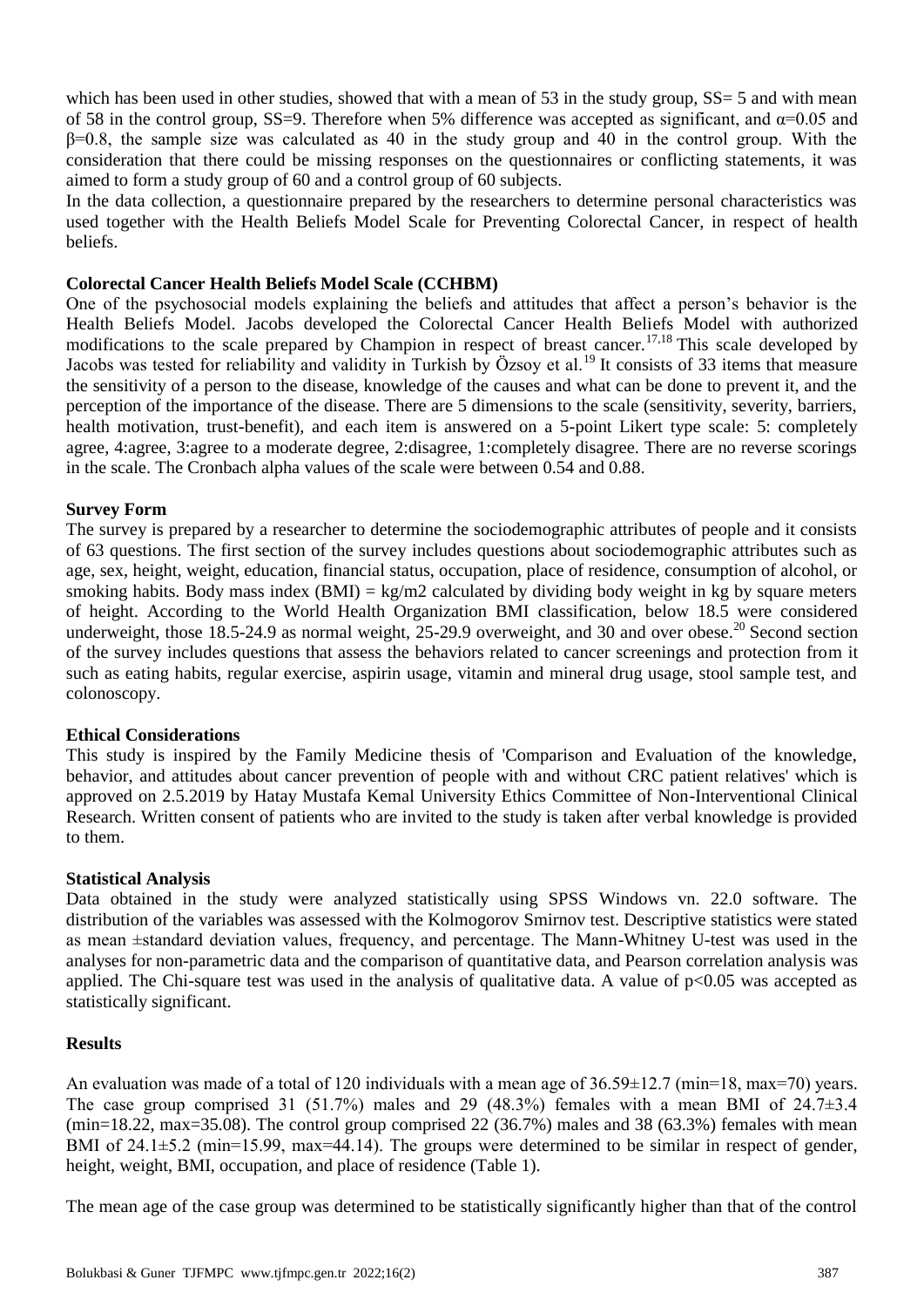which has been used in other studies, showed that with a mean of 53 in the study group, SS= 5 and with mean of 58 in the control group, SS=9. Therefore when 5% difference was accepted as significant, and  $\alpha$ =0.05 and  $\beta$ =0.8, the sample size was calculated as 40 in the study group and 40 in the control group. With the consideration that there could be missing responses on the questionnaires or conflicting statements, it was aimed to form a study group of 60 and a control group of 60 subjects.

In the data collection, a questionnaire prepared by the researchers to determine personal characteristics was used together with the Health Beliefs Model Scale for Preventing Colorectal Cancer, in respect of health beliefs.

## **Colorectal Cancer Health Beliefs Model Scale (CCHBM)**

One of the psychosocial models explaining the beliefs and attitudes that affect a person's behavior is the Health Beliefs Model. Jacobs developed the Colorectal Cancer Health Beliefs Model with authorized modifications to the scale prepared by Champion in respect of breast cancer.<sup>17,18</sup> This scale developed by Jacobs was tested for reliability and validity in Turkish by Özsoy et al.<sup>19</sup> It consists of 33 items that measure the sensitivity of a person to the disease, knowledge of the causes and what can be done to prevent it, and the perception of the importance of the disease. There are 5 dimensions to the scale (sensitivity, severity, barriers, health motivation, trust-benefit), and each item is answered on a 5-point Likert type scale: 5: completely agree, 4:agree, 3:agree to a moderate degree, 2:disagree, 1:completely disagree. There are no reverse scorings in the scale. The Cronbach alpha values of the scale were between 0.54 and 0.88.

## **Survey Form**

The survey is prepared by a researcher to determine the sociodemographic attributes of people and it consists of 63 questions. The first section of the survey includes questions about sociodemographic attributes such as age, sex, height, weight, education, financial status, occupation, place of residence, consumption of alcohol, or smoking habits. Body mass index (BMI) =  $kg/m2$  calculated by dividing body weight in kg by square meters of height. According to the World Health Organization BMI classification, below 18.5 were considered underweight, those 18.5-24.9 as normal weight, 25-29.9 overweight, and 30 and over obese.<sup>20</sup> Second section of the survey includes questions that assess the behaviors related to cancer screenings and protection from it such as eating habits, regular exercise, aspirin usage, vitamin and mineral drug usage, stool sample test, and colonoscopy.

#### **Ethical Considerations**

This study is inspired by the Family Medicine thesis of 'Comparison and Evaluation of the knowledge, behavior, and attitudes about cancer prevention of people with and without CRC patient relatives' which is approved on 2.5.2019 by Hatay Mustafa Kemal University Ethics Committee of Non-Interventional Clinical Research. Written consent of patients who are invited to the study is taken after verbal knowledge is provided to them.

# **Statistical Analysis**

Data obtained in the study were analyzed statistically using SPSS Windows vn. 22.0 software. The distribution of the variables was assessed with the Kolmogorov Smirnov test. Descriptive statistics were stated as mean ±standard deviation values, frequency, and percentage. The Mann-Whitney U-test was used in the analyses for non-parametric data and the comparison of quantitative data, and Pearson correlation analysis was applied. The Chi-square test was used in the analysis of qualitative data. A value of  $p<0.05$  was accepted as statistically significant.

# **Results**

An evaluation was made of a total of 120 individuals with a mean age of  $36.59\pm12.7$  (min=18, max=70) years. The case group comprised 31 (51.7%) males and 29 (48.3%) females with a mean BMI of  $24.7\pm3.4$ (min=18.22, max=35.08). The control group comprised 22 (36.7%) males and 38 (63.3%) females with mean BMI of 24.1 $\pm$ 5.2 (min=15.99, max=44.14). The groups were determined to be similar in respect of gender, height, weight, BMI, occupation, and place of residence (Table 1).

The mean age of the case group was determined to be statistically significantly higher than that of the control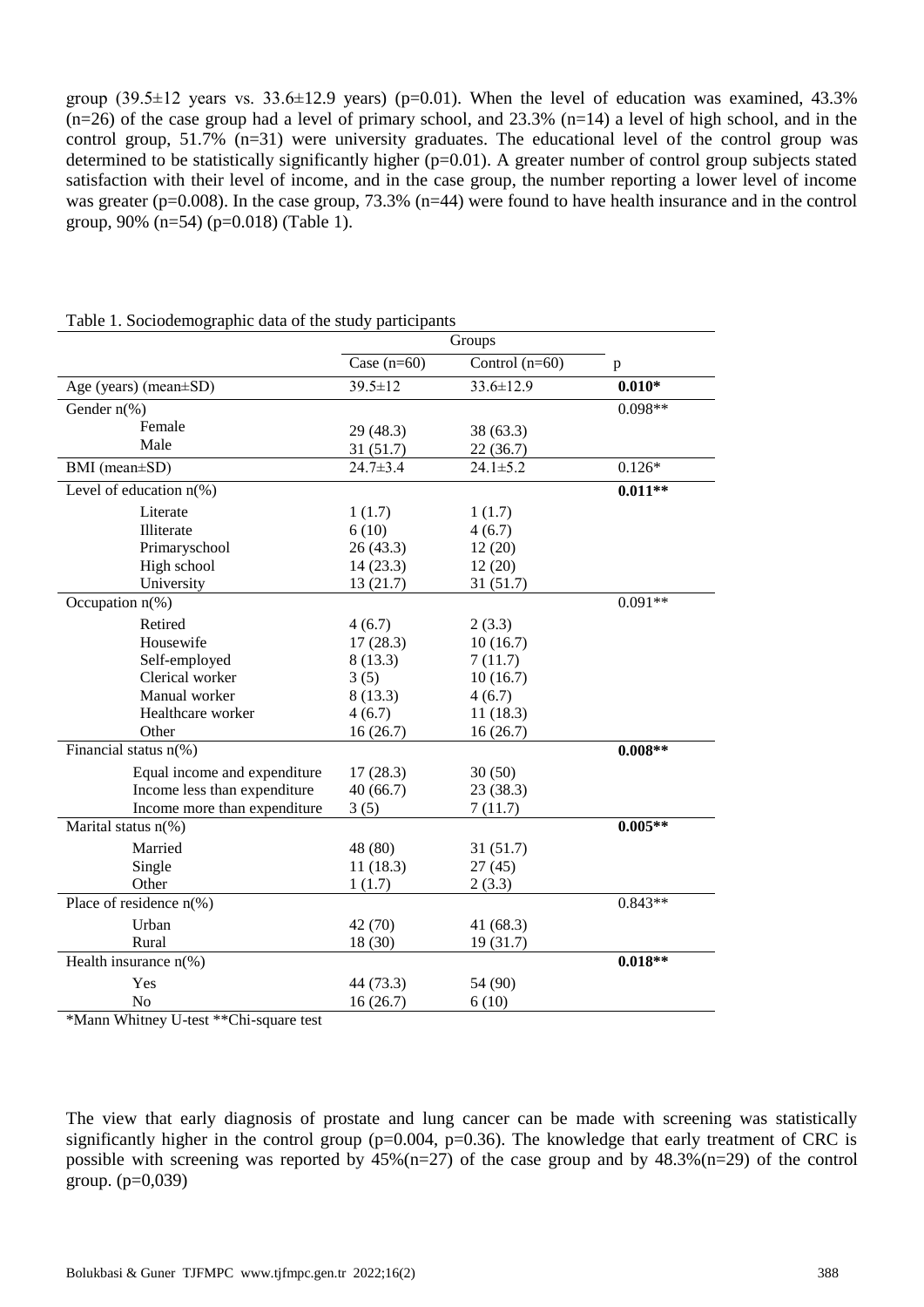group  $(39.5\pm12)$  years vs.  $33.6\pm12.9$  years) (p=0.01). When the level of education was examined, 43.3%  $(n=26)$  of the case group had a level of primary school, and  $23.3\%$   $(n=14)$  a level of high school, and in the control group, 51.7% (n=31) were university graduates. The educational level of the control group was determined to be statistically significantly higher (p=0.01). A greater number of control group subjects stated satisfaction with their level of income, and in the case group, the number reporting a lower level of income was greater (p=0.008). In the case group, 73.3% (n=44) were found to have health insurance and in the control group, 90% (n=54) (p=0.018) (Table 1).

|                                       | Case $(n=60)$  | Control $(n=60)$ | $\, {\bf p}$ |
|---------------------------------------|----------------|------------------|--------------|
| Age (years) (mean±SD)                 | $39.5 \pm 12$  | $33.6 \pm 12.9$  | $0.010*$     |
| Gender $n$ <sup>(%)</sup>             |                |                  | $0.098**$    |
| Female                                | 29 (48.3)      | 38 (63.3)        |              |
| Male                                  | 31 (51.7)      | 22(36.7)         |              |
| BMI (mean±SD)                         | $24.7 \pm 3.4$ | $24.1 \pm 5.2$   | $0.126*$     |
| Level of education $n$ (%)            |                |                  | $0.011**$    |
| Literate                              | 1(1.7)         | 1(1.7)           |              |
| Illiterate                            | 6(10)          | 4(6.7)           |              |
| Primaryschool                         | 26(43.3)       | 12(20)           |              |
| High school                           | 14(23.3)       | 12(20)           |              |
| University                            | 13(21.7)       | 31(51.7)         |              |
| Occupation $n$ (%)                    |                |                  | $0.091**$    |
| Retired                               | 4(6.7)         | 2(3.3)           |              |
| Housewife                             | 17(28.3)       | 10(16.7)         |              |
| Self-employed                         | 8(13.3)        | 7(11.7)          |              |
| Clerical worker                       | 3(5)           | 10(16.7)         |              |
| Manual worker                         | 8(13.3)        | 4(6.7)           |              |
| Healthcare worker                     | 4(6.7)         | 11(18.3)         |              |
| Other                                 | 16(26.7)       | 16(26.7)         |              |
| Financial status $n$ <sup>(%)</sup>   |                |                  | $0.008**$    |
| Equal income and expenditure          | 17(28.3)       | 30(50)           |              |
| Income less than expenditure          | 40(66.7)       | 23(38.3)         |              |
| Income more than expenditure          | 3(5)           | 7(11.7)          |              |
| Marital status n(%)                   |                |                  | $0.005**$    |
| Married                               | 48 (80)        | 31(51.7)         |              |
| Single                                | 11(18.3)       | 27(45)           |              |
| Other                                 | 1(1.7)         | 2(3.3)           |              |
| Place of residence $n$ <sup>(%)</sup> |                |                  | $0.843**$    |
| Urban                                 | 42(70)         | 41 (68.3)        |              |
| Rural                                 | 18 (30)        | 19(31.7)         |              |
| Health insurance $n$ <sup>(%)</sup>   |                |                  | $0.018**$    |
| Yes                                   | 44 (73.3)      | 54 (90)          |              |
| No                                    | 16(26.7)       | 6(10)            |              |

Table 1. Sociodemographic data of the study participants

\*Mann Whitney U-test \*\*Chi-square test

The view that early diagnosis of prostate and lung cancer can be made with screening was statistically significantly higher in the control group ( $p=0.004$ ,  $p=0.36$ ). The knowledge that early treatment of CRC is possible with screening was reported by  $45\%$  (n=27) of the case group and by  $48.3\%$  (n=29) of the control group.  $(p=0,039)$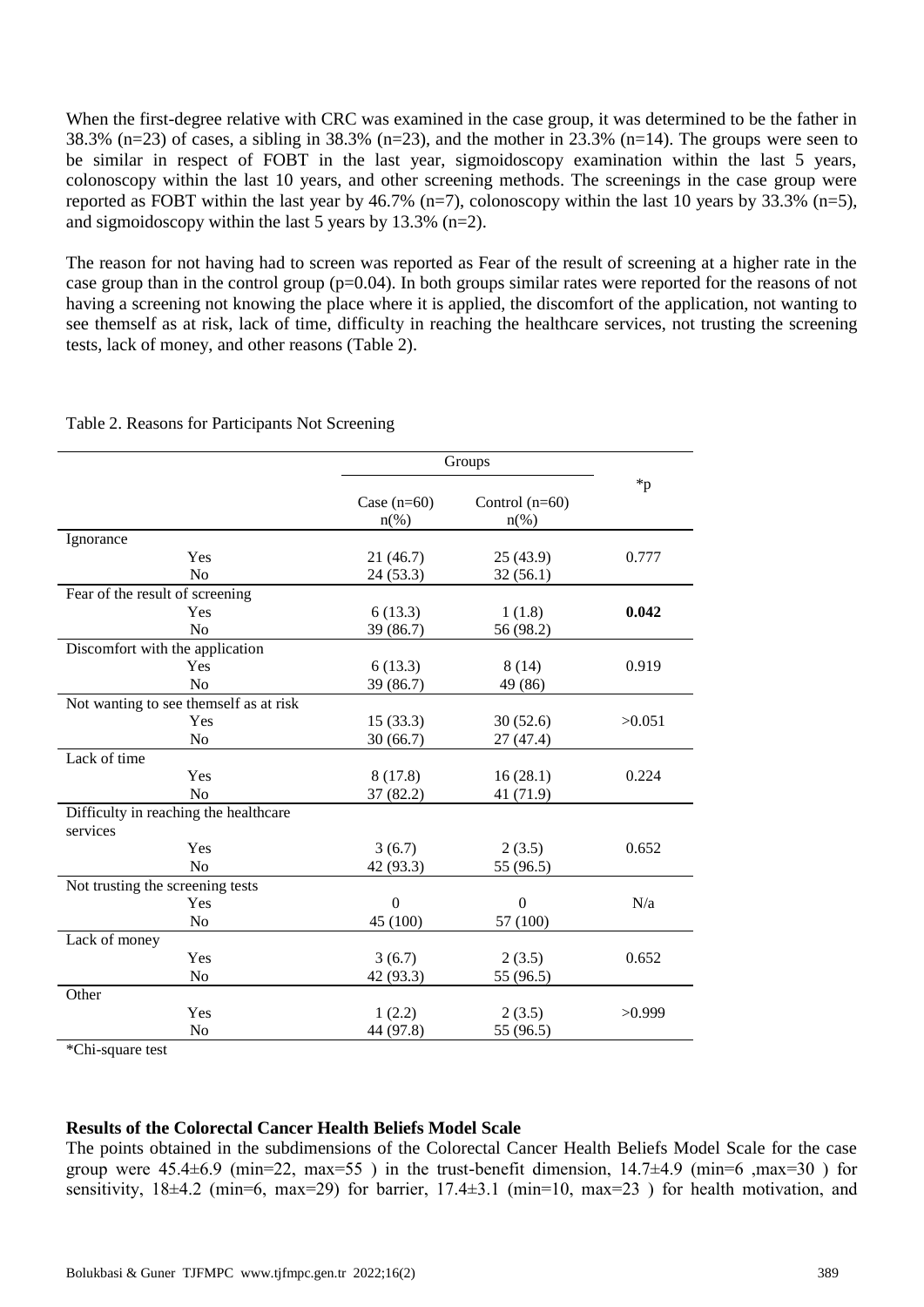When the first-degree relative with CRC was examined in the case group, it was determined to be the father in 38.3% (n=23) of cases, a sibling in 38.3% (n=23), and the mother in 23.3% (n=14). The groups were seen to be similar in respect of FOBT in the last year, sigmoidoscopy examination within the last 5 years, colonoscopy within the last 10 years, and other screening methods. The screenings in the case group were reported as FOBT within the last year by 46.7% (n=7), colonoscopy within the last 10 years by 33.3% (n=5), and sigmoidoscopy within the last 5 years by 13.3% (n=2).

The reason for not having had to screen was reported as Fear of the result of screening at a higher rate in the case group than in the control group (p=0.04). In both groups similar rates were reported for the reasons of not having a screening not knowing the place where it is applied, the discomfort of the application, not wanting to see themself as at risk, lack of time, difficulty in reaching the healthcare services, not trusting the screening tests, lack of money, and other reasons (Table 2).

| $\ast_{p}$<br>Case $(n=60)$<br>Control $(n=60)$<br>$n(\%)$<br>$n(\%)$ |  |  |  |  |  |  |
|-----------------------------------------------------------------------|--|--|--|--|--|--|
|                                                                       |  |  |  |  |  |  |
| Ignorance                                                             |  |  |  |  |  |  |
| 0.777<br>Yes<br>21(46.7)<br>25(43.9)                                  |  |  |  |  |  |  |
| N <sub>o</sub><br>24 (53.3)<br>32(56.1)                               |  |  |  |  |  |  |
| Fear of the result of screening                                       |  |  |  |  |  |  |
| 0.042<br>Yes<br>6(13.3)<br>1(1.8)                                     |  |  |  |  |  |  |
| 39 (86.7)<br>56 (98.2)<br>No                                          |  |  |  |  |  |  |
| Discomfort with the application                                       |  |  |  |  |  |  |
| Yes<br>6(13.3)<br>8(14)<br>0.919                                      |  |  |  |  |  |  |
| No<br>39 (86.7)<br>49 (86)                                            |  |  |  |  |  |  |
| Not wanting to see themself as at risk                                |  |  |  |  |  |  |
| Yes<br>15(33.3)<br>30(52.6)<br>>0.051                                 |  |  |  |  |  |  |
| N <sub>o</sub><br>30(66.7)<br>27 (47.4)                               |  |  |  |  |  |  |
| Lack of time                                                          |  |  |  |  |  |  |
| Yes<br>8(17.8)<br>0.224<br>16(28.1)                                   |  |  |  |  |  |  |
| N <sub>o</sub><br>37(82.2)<br>41 (71.9)                               |  |  |  |  |  |  |
| Difficulty in reaching the healthcare                                 |  |  |  |  |  |  |
| services                                                              |  |  |  |  |  |  |
| Yes<br>3(6.7)<br>2(3.5)<br>0.652                                      |  |  |  |  |  |  |
| N <sub>o</sub><br>42 (93.3)<br>55 (96.5)                              |  |  |  |  |  |  |
| Not trusting the screening tests                                      |  |  |  |  |  |  |
| Yes<br>$\theta$<br>$\Omega$<br>N/a                                    |  |  |  |  |  |  |
| N <sub>o</sub><br>45 (100)<br>57 (100)                                |  |  |  |  |  |  |
| Lack of money                                                         |  |  |  |  |  |  |
| Yes<br>3(6.7)<br>2(3.5)<br>0.652                                      |  |  |  |  |  |  |
| No<br>42 (93.3)<br>55 (96.5)                                          |  |  |  |  |  |  |
| Other                                                                 |  |  |  |  |  |  |
| Yes<br>1(2.2)<br>2(3.5)<br>>0.999                                     |  |  |  |  |  |  |
| No<br>44 (97.8)<br>55 (96.5)                                          |  |  |  |  |  |  |

Table 2. Reasons for Participants Not Screening

\*Chi-square test

#### **Results of the Colorectal Cancer Health Beliefs Model Scale**

The points obtained in the subdimensions of the Colorectal Cancer Health Beliefs Model Scale for the case group were  $45.4\pm6.9$  (min=22, max=55) in the trust-benefit dimension,  $14.7\pm4.9$  (min=6 ,max=30) for sensitivity,  $18\pm4.2$  (min=6, max=29) for barrier,  $17.4\pm3.1$  (min=10, max=23) for health motivation, and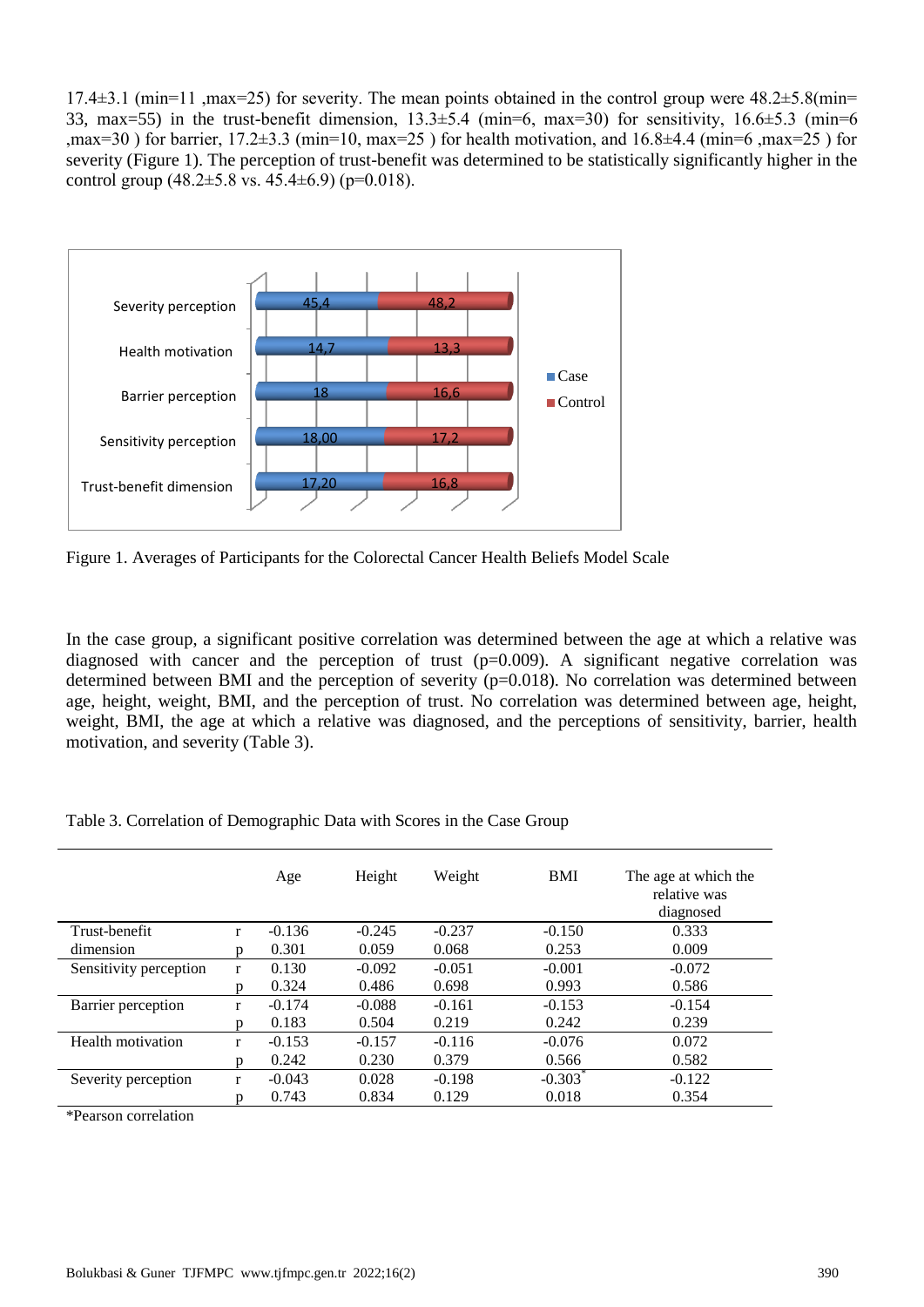17.4 $\pm$ 3.1 (min=11 ,max=25) for severity. The mean points obtained in the control group were 48.2 $\pm$ 5.8(min= 33, max=55) in the trust-benefit dimension,  $13.3\pm5.4$  (min=6, max=30) for sensitivity,  $16.6\pm5.3$  (min=6 ,max=30 ) for barrier,  $17.2\pm3.3$  (min=10, max=25 ) for health motivation, and  $16.8\pm4.4$  (min=6 ,max=25 ) for severity (Figure 1). The perception of trust-benefit was determined to be statistically significantly higher in the control group  $(48.2 \pm 5.8 \text{ vs. } 45.4 \pm 6.9)$  (p=0.018).



Figure 1. Averages of Participants for the Colorectal Cancer Health Beliefs Model Scale

In the case group, a significant positive correlation was determined between the age at which a relative was diagnosed with cancer and the perception of trust (p=0.009). A significant negative correlation was determined between BMI and the perception of severity (p=0.018). No correlation was determined between age, height, weight, BMI, and the perception of trust. No correlation was determined between age, height, weight, BMI, the age at which a relative was diagnosed, and the perceptions of sensitivity, barrier, health motivation, and severity (Table 3).

|                        |              | Age      | Height   | Weight   | <b>BMI</b> | The age at which the<br>relative was<br>diagnosed |
|------------------------|--------------|----------|----------|----------|------------|---------------------------------------------------|
| Trust-benefit          | r            | $-0.136$ | $-0.245$ | $-0.237$ | $-0.150$   | 0.333                                             |
| dimension              | D            | 0.301    | 0.059    | 0.068    | 0.253      | 0.009                                             |
| Sensitivity perception | $\mathbf{r}$ | 0.130    | $-0.092$ | $-0.051$ | $-0.001$   | $-0.072$                                          |
|                        | D            | 0.324    | 0.486    | 0.698    | 0.993      | 0.586                                             |
| Barrier perception     | r            | $-0.174$ | $-0.088$ | $-0.161$ | $-0.153$   | $-0.154$                                          |
|                        | n            | 0.183    | 0.504    | 0.219    | 0.242      | 0.239                                             |
| Health motivation      | r            | $-0.153$ | $-0.157$ | $-0.116$ | $-0.076$   | 0.072                                             |
|                        | D            | 0.242    | 0.230    | 0.379    | 0.566      | 0.582                                             |
| Severity perception    | $\mathbf{r}$ | $-0.043$ | 0.028    | $-0.198$ | $-0.303*$  | $-0.122$                                          |
|                        | p            | 0.743    | 0.834    | 0.129    | 0.018      | 0.354                                             |

Table 3. Correlation of Demographic Data with Scores in the Case Group

\*Pearson correlation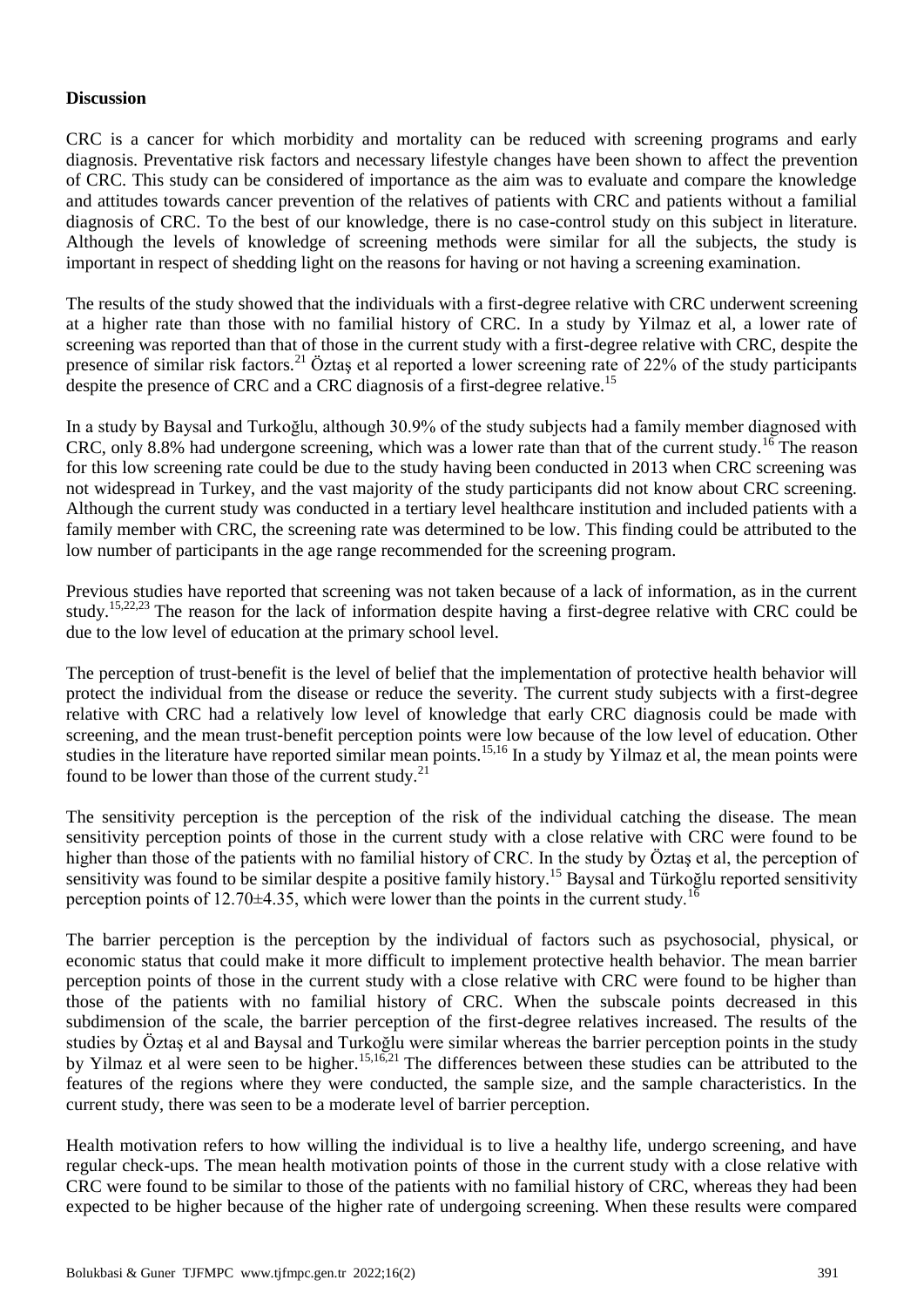# **Discussion**

CRC is a cancer for which morbidity and mortality can be reduced with screening programs and early diagnosis. Preventative risk factors and necessary lifestyle changes have been shown to affect the prevention of CRC. This study can be considered of importance as the aim was to evaluate and compare the knowledge and attitudes towards cancer prevention of the relatives of patients with CRC and patients without a familial diagnosis of CRC. To the best of our knowledge, there is no case-control study on this subject in literature. Although the levels of knowledge of screening methods were similar for all the subjects, the study is important in respect of shedding light on the reasons for having or not having a screening examination.

The results of the study showed that the individuals with a first-degree relative with CRC underwent screening at a higher rate than those with no familial history of CRC. In a study by Yilmaz et al, a lower rate of screening was reported than that of those in the current study with a first-degree relative with CRC, despite the presence of similar risk factors.<sup>21</sup> Öztaş et al reported a lower screening rate of 22% of the study participants despite the presence of CRC and a CRC diagnosis of a first-degree relative.<sup>15</sup>

In a study by Baysal and Turkoğlu, although 30.9% of the study subjects had a family member diagnosed with CRC, only 8.8% had undergone screening, which was a lower rate than that of the current study.<sup>16</sup> The reason for this low screening rate could be due to the study having been conducted in 2013 when CRC screening was not widespread in Turkey, and the vast majority of the study participants did not know about CRC screening. Although the current study was conducted in a tertiary level healthcare institution and included patients with a family member with CRC, the screening rate was determined to be low. This finding could be attributed to the low number of participants in the age range recommended for the screening program.

Previous studies have reported that screening was not taken because of a lack of information, as in the current study.15,22,23 The reason for the lack of information despite having a first-degree relative with CRC could be due to the low level of education at the primary school level.

The perception of trust-benefit is the level of belief that the implementation of protective health behavior will protect the individual from the disease or reduce the severity. The current study subjects with a first-degree relative with CRC had a relatively low level of knowledge that early CRC diagnosis could be made with screening, and the mean trust-benefit perception points were low because of the low level of education. Other studies in the literature have reported similar mean points.<sup>15,16</sup> In a study by Yilmaz et al, the mean points were found to be lower than those of the current study.<sup>21</sup>

The sensitivity perception is the perception of the risk of the individual catching the disease. The mean sensitivity perception points of those in the current study with a close relative with CRC were found to be higher than those of the patients with no familial history of CRC. In the study by Öztas et al, the perception of sensitivity was found to be similar despite a positive family history.<sup>15</sup> Baysal and Türkoğlu reported sensitivity perception points of 12.70 $\pm$ 4.35, which were lower than the points in the current study.<sup>16</sup>

The barrier perception is the perception by the individual of factors such as psychosocial, physical, or economic status that could make it more difficult to implement protective health behavior. The mean barrier perception points of those in the current study with a close relative with CRC were found to be higher than those of the patients with no familial history of CRC. When the subscale points decreased in this subdimension of the scale, the barrier perception of the first-degree relatives increased. The results of the studies by Öztaş et al and Baysal and Turkoğlu were similar whereas the barrier perception points in the study by Yilmaz et al were seen to be higher.<sup>15,16,21</sup> The differences between these studies can be attributed to the features of the regions where they were conducted, the sample size, and the sample characteristics. In the current study, there was seen to be a moderate level of barrier perception.

Health motivation refers to how willing the individual is to live a healthy life, undergo screening, and have regular check-ups. The mean health motivation points of those in the current study with a close relative with CRC were found to be similar to those of the patients with no familial history of CRC, whereas they had been expected to be higher because of the higher rate of undergoing screening. When these results were compared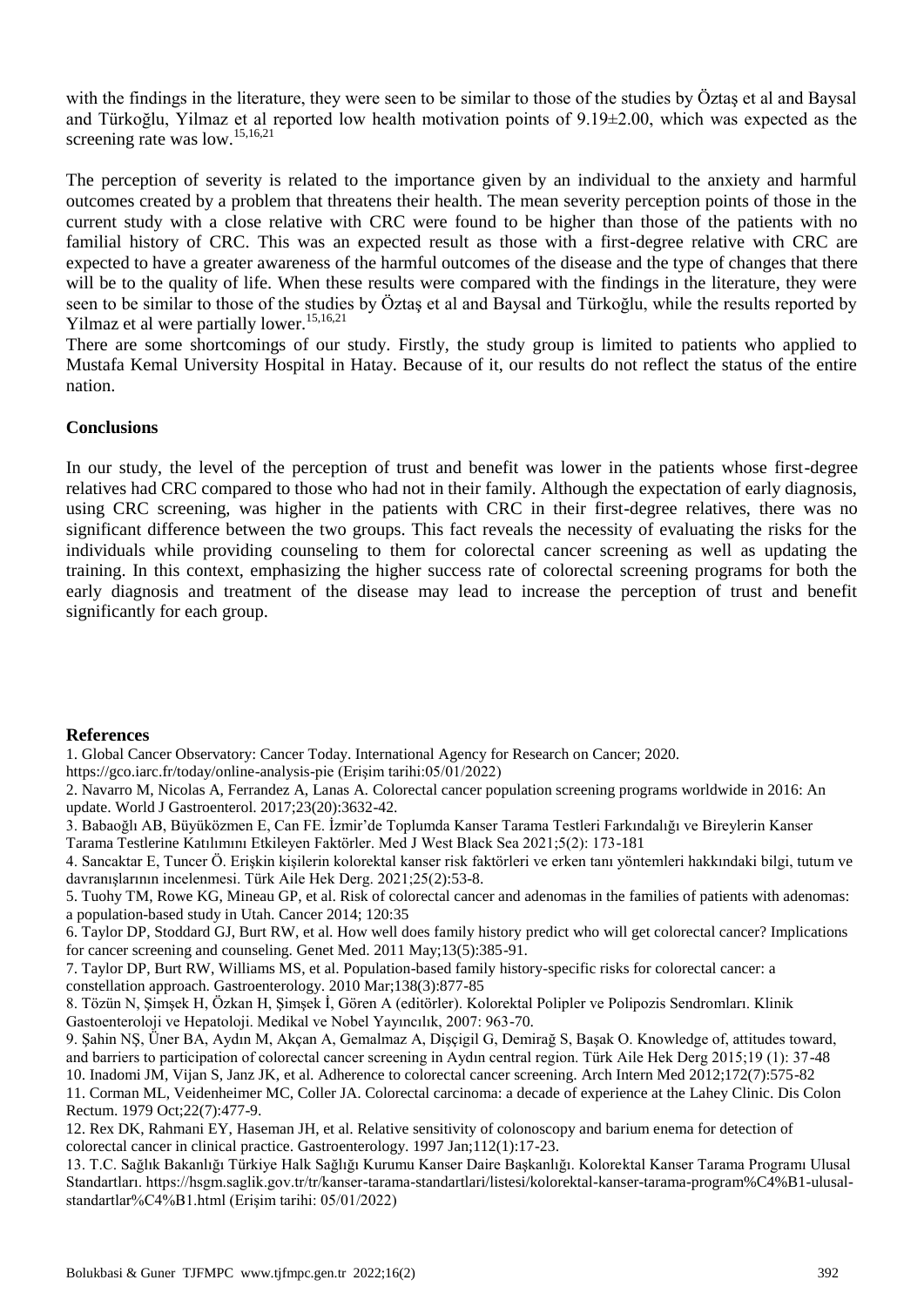with the findings in the literature, they were seen to be similar to those of the studies by Öztas et al and Baysal and Türkoğlu, Yilmaz et al reported low health motivation points of 9.19±2.00, which was expected as the screening rate was low.<sup>15,16,21</sup>

The perception of severity is related to the importance given by an individual to the anxiety and harmful outcomes created by a problem that threatens their health. The mean severity perception points of those in the current study with a close relative with CRC were found to be higher than those of the patients with no familial history of CRC. This was an expected result as those with a first-degree relative with CRC are expected to have a greater awareness of the harmful outcomes of the disease and the type of changes that there will be to the quality of life. When these results were compared with the findings in the literature, they were seen to be similar to those of the studies by Öztaş et al and Baysal and Türkoğlu, while the results reported by Yilmaz et al were partially lower.<sup>15,16,21</sup>

There are some shortcomings of our study. Firstly, the study group is limited to patients who applied to Mustafa Kemal University Hospital in Hatay. Because of it, our results do not reflect the status of the entire nation.

## **Conclusions**

In our study, the level of the perception of trust and benefit was lower in the patients whose first-degree relatives had CRC compared to those who had not in their family. Although the expectation of early diagnosis, using CRC screening, was higher in the patients with CRC in their first-degree relatives, there was no significant difference between the two groups. This fact reveals the necessity of evaluating the risks for the individuals while providing counseling to them for colorectal cancer screening as well as updating the training. In this context, emphasizing the higher success rate of colorectal screening programs for both the early diagnosis and treatment of the disease may lead to increase the perception of trust and benefit significantly for each group.

#### **References**

1. Global Cancer Observatory: Cancer Today. International Agency for Research on Cancer; 2020.

https://gco.iarc.fr/today/online-analysis-pie (Erişim tarihi:05/01/2022)

2. Navarro M, Nicolas A, Ferrandez A, Lanas A. Colorectal cancer population screening programs worldwide in 2016: An update. World J Gastroenterol. 2017;23(20):3632-42.

3. Babaoğlı AB, Büyüközmen E, Can FE. İzmir'de Toplumda Kanser Tarama Testleri Farkındalığı ve Bireylerin Kanser Tarama Testlerine Katılımını Etkileyen Faktörler. Med J West Black Sea 2021;5(2): 173-181

4. Sancaktar E, Tuncer Ö. Erişkin kişilerin kolorektal kanser risk faktörleri ve erken tanı yöntemleri hakkındaki bilgi, tutum ve davranışlarının incelenmesi. Türk Aile Hek Derg. 2021;25(2):53-8.

5. Tuohy TM, Rowe KG, Mineau GP, et al. Risk of colorectal cancer and adenomas in the families of patients with adenomas: a population-based study in Utah. Cancer 2014; 120:35

6. Taylor DP, Stoddard GJ, Burt RW, et al. How well does family history predict who will get colorectal cancer? Implications for cancer screening and counseling. Genet Med. 2011 May;13(5):385-91.

7. Taylor DP, Burt RW, Williams MS, et al. Population-based family history-specific risks for colorectal cancer: a constellation approach. Gastroenterology. 2010 Mar;138(3):877-85

8. Tözün N, Şimşek H, Özkan H, Şimşek İ, Gören A (editörler). Kolorektal Polipler ve Polipozis Sendromları. Klinik Gastoenteroloji ve Hepatoloji. Medikal ve Nobel Yayıncılık, 2007: 963-70.

9. Şahin NŞ, Üner BA, Aydın M, Akçan A, Gemalmaz A, Dişçigil G, Demirağ S, Başak O. Knowledge of, attitudes toward, and barriers to participation of colorectal cancer screening in Aydın central region. Türk Aile Hek Derg 2015;19 (1): 37-48

10. Inadomi JM, Vijan S, Janz JK, et al. Adherence to colorectal cancer screening. Arch Intern Med 2012;172(7):575-82

11. Corman ML, Veidenheimer MC, Coller JA. Colorectal carcinoma: a decade of experience at the Lahey Clinic. Dis Colon Rectum. 1979 Oct;22(7):477-9.

12. Rex DK, Rahmani EY, Haseman JH, et al. Relative sensitivity of colonoscopy and barium enema for detection of colorectal cancer in clinical practice. Gastroenterology. 1997 Jan;112(1):17-23.

13. T.C. Sağlık Bakanlığı Türkiye Halk Sağlığı Kurumu Kanser Daire Başkanlığı. Kolorektal Kanser Tarama Programı Ulusal Standartları. https://hsgm.saglik.gov.tr/tr/kanser-tarama-standartlari/listesi/kolorektal-kanser-tarama-program%C4%B1-ulusalstandartlar%C4%B1.html (Erişim tarihi: 05/01/2022)